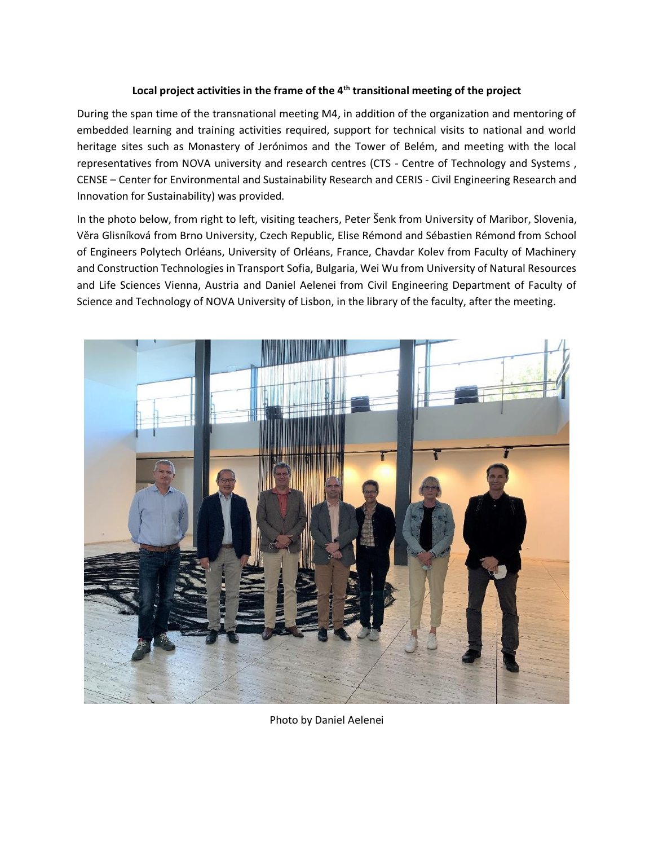#### **Local project activities in the frame of the 4th transitional meeting of the project**

During the span time of the transnational meeting M4, in addition of the organization and mentoring of embedded learning and training activities required, support for technical visits to national and world heritage sites such as Monastery of Jerónimos and the Tower of Belém, and meeting with the local representatives from NOVA university and research centres (CTS - Centre of Technology and Systems , CENSE – Center for Environmental and Sustainability Research and CERIS - Civil Engineering Research and Innovation for Sustainability) was provided.

In the photo below, from right to left, visiting teachers, Peter Šenk from University of Maribor, Slovenia, Věra Glisníková from Brno University, Czech Republic, Elise Rémond and Sébastien Rémond from School of Engineers Polytech Orléans, University of Orléans, France, Chavdar Kolev from Faculty of Machinery and Construction Technologies in Transport Sofia, Bulgaria, Wei Wu from University of Natural Resources and Life Sciences Vienna, Austria and Daniel Aelenei from Civil Engineering Department of Faculty of Science and Technology of NOVA University of Lisbon, in the library of the faculty, after the meeting.



Photo by Daniel Aelenei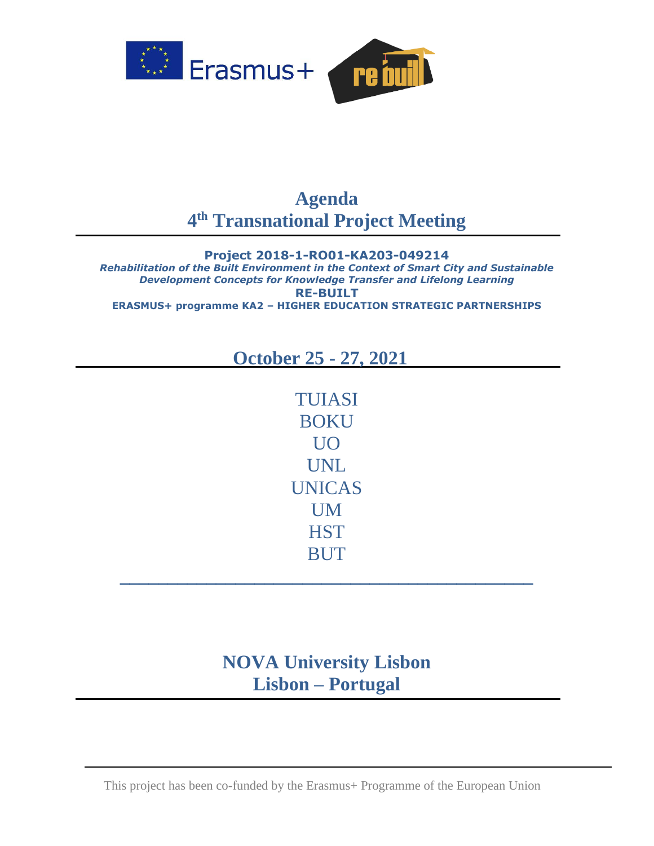

## **Agenda 4 th Transnational Project Meeting**

**Project 2018-1-RO01-KA203-049214** *Rehabilitation of the Built Environment in the Context of Smart City and Sustainable Development Concepts for Knowledge Transfer and Lifelong Learning* **RE-BUILT ERASMUS+ programme KA2 – HIGHER EDUCATION STRATEGIC PARTNERSHIPS**

## **October 25 - 27, 2021**

TUIASI BOKU UO UNL UNICAS UM **HST BUT** 

# **NOVA University Lisbon Lisbon – Portugal**

**\_\_\_\_\_\_\_\_\_\_\_\_\_\_\_\_\_\_\_\_\_\_\_\_\_\_\_\_\_\_\_\_\_\_\_\_\_\_\_\_\_\_\_**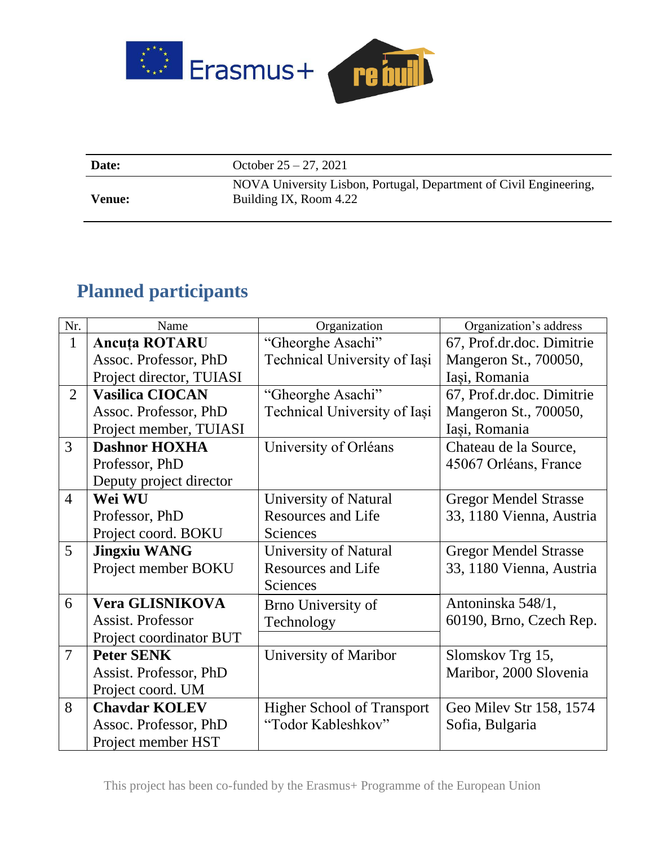

**Date:** October 25 – 27, 2021

**Venue:**

NOVA University Lisbon, Portugal, Department of Civil Engineering, Building IX, Room 4.22

# **Planned participants**

| Nr.            | Name                     | Organization                      | Organization's address       |
|----------------|--------------------------|-----------------------------------|------------------------------|
| $\mathbf{1}$   | <b>Ancuta ROTARU</b>     | "Gheorghe Asachi"                 | 67, Prof.dr.doc. Dimitrie    |
|                | Assoc. Professor, PhD    | Technical University of Iasi      | Mangeron St., 700050,        |
|                | Project director, TUIASI |                                   | Iași, Romania                |
| $\overline{2}$ | <b>Vasilica CIOCAN</b>   | "Gheorghe Asachi"                 | 67, Prof.dr.doc. Dimitrie    |
|                | Assoc. Professor, PhD    | Technical University of Iasi      | Mangeron St., 700050,        |
|                | Project member, TUIASI   |                                   | Iași, Romania                |
| $\overline{3}$ | <b>Dashnor HOXHA</b>     | University of Orléans             | Chateau de la Source,        |
|                | Professor, PhD           |                                   | 45067 Orléans, France        |
|                | Deputy project director  |                                   |                              |
| $\overline{4}$ | Wei WU                   | University of Natural             | <b>Gregor Mendel Strasse</b> |
|                | Professor, PhD           | <b>Resources and Life</b>         | 33, 1180 Vienna, Austria     |
|                | Project coord. BOKU      | Sciences                          |                              |
| 5              | <b>Jingxiu WANG</b>      | University of Natural             | <b>Gregor Mendel Strasse</b> |
|                | Project member BOKU      | <b>Resources and Life</b>         | 33, 1180 Vienna, Austria     |
|                |                          | Sciences                          |                              |
| 6              | <b>Vera GLISNIKOVA</b>   | <b>Brno University of</b>         | Antoninska 548/1,            |
|                | <b>Assist. Professor</b> | Technology                        | 60190, Brno, Czech Rep.      |
|                | Project coordinator BUT  |                                   |                              |
| $\overline{7}$ | <b>Peter SENK</b>        | University of Maribor             | Slomskov Trg 15,             |
|                | Assist. Professor, PhD   |                                   | Maribor, 2000 Slovenia       |
|                | Project coord. UM        |                                   |                              |
| 8              | <b>Chaydar KOLEV</b>     | <b>Higher School of Transport</b> | Geo Milev Str 158, 1574      |
|                | Assoc. Professor, PhD    | "Todor Kableshkov"                | Sofia, Bulgaria              |
|                | Project member HST       |                                   |                              |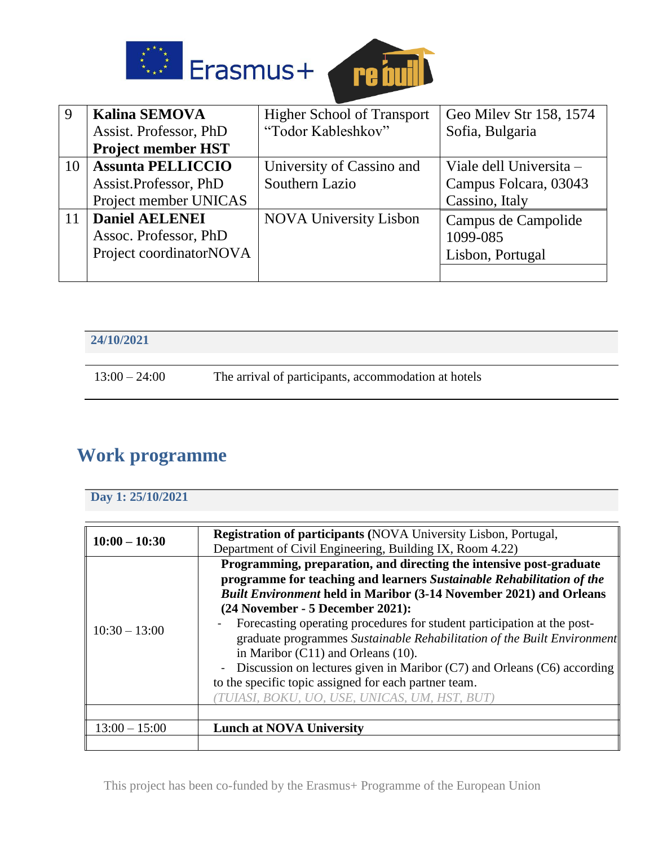



| 9  | <b>Kalina SEMOVA</b>      | <b>Higher School of Transport</b> | Geo Milev Str 158, 1574 |
|----|---------------------------|-----------------------------------|-------------------------|
|    | Assist. Professor, PhD    | "Todor Kableshkov"                | Sofia, Bulgaria         |
|    | <b>Project member HST</b> |                                   |                         |
| 10 | <b>Assunta PELLICCIO</b>  | University of Cassino and         | Viale dell Universita – |
|    | Assist.Professor, PhD     | Southern Lazio                    | Campus Folcara, 03043   |
|    | Project member UNICAS     |                                   | Cassino, Italy          |
| 11 | <b>Daniel AELENEI</b>     | <b>NOVA University Lisbon</b>     | Campus de Campolide     |
|    | Assoc. Professor, PhD     |                                   | 1099-085                |
|    | Project coordinatorNOVA   |                                   | Lisbon, Portugal        |
|    |                           |                                   |                         |

| 24/10/2021      |                                                      |
|-----------------|------------------------------------------------------|
| $13:00 - 24:00$ | The arrival of participants, accommodation at hotels |

# **Work programme**

## **Day 1: 25/10/2021**

| $10:00 - 10:30$ | <b>Registration of participants (NOVA University Lisbon, Portugal,</b><br>Department of Civil Engineering, Building IX, Room 4.22)                                                                                                                                                                                                                                                                                                                                                                                                                                                                                                                       |
|-----------------|----------------------------------------------------------------------------------------------------------------------------------------------------------------------------------------------------------------------------------------------------------------------------------------------------------------------------------------------------------------------------------------------------------------------------------------------------------------------------------------------------------------------------------------------------------------------------------------------------------------------------------------------------------|
| $10:30 - 13:00$ | Programming, preparation, and directing the intensive post-graduate<br>programme for teaching and learners Sustainable Rehabilitation of the<br><b>Built Environment held in Maribor (3-14 November 2021) and Orleans</b><br>(24 November - 5 December 2021):<br>Forecasting operating procedures for student participation at the post-<br>graduate programmes Sustainable Rehabilitation of the Built Environment<br>in Maribor $(C11)$ and Orleans $(10)$ .<br>- Discussion on lectures given in Maribor $(C7)$ and Orleans $(C6)$ according<br>to the specific topic assigned for each partner team.<br>TUIASI, BOKU, UO, USE, UNICAS, UM, HST, BUT) |
|                 |                                                                                                                                                                                                                                                                                                                                                                                                                                                                                                                                                                                                                                                          |
| $13:00 - 15:00$ | <b>Lunch at NOVA University</b>                                                                                                                                                                                                                                                                                                                                                                                                                                                                                                                                                                                                                          |
|                 |                                                                                                                                                                                                                                                                                                                                                                                                                                                                                                                                                                                                                                                          |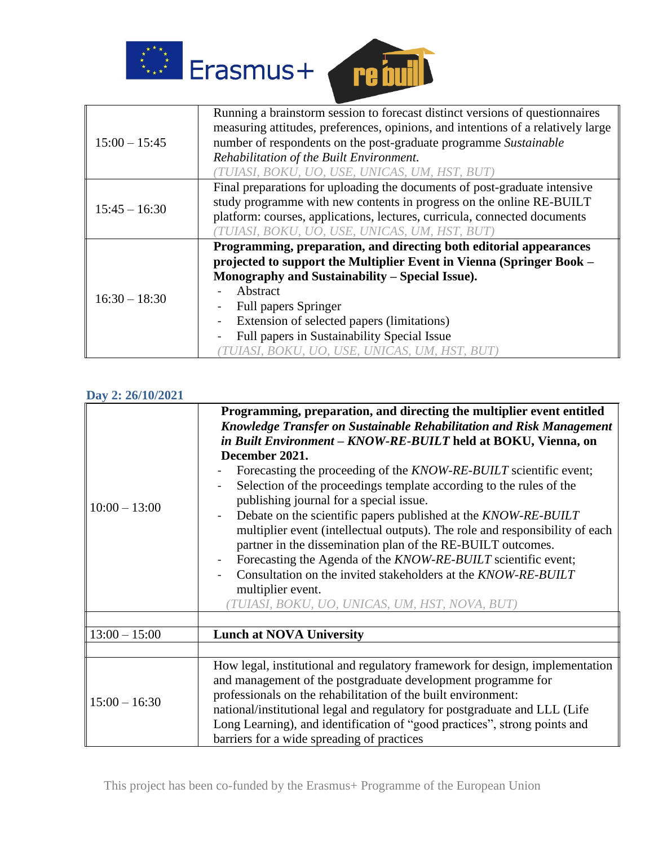



|                 | Running a brainstorm session to forecast distinct versions of questionnaires<br>measuring attitudes, preferences, opinions, and intentions of a relatively large |
|-----------------|------------------------------------------------------------------------------------------------------------------------------------------------------------------|
| $15:00 - 15:45$ | number of respondents on the post-graduate programme Sustainable                                                                                                 |
|                 | Rehabilitation of the Built Environment.                                                                                                                         |
|                 |                                                                                                                                                                  |
|                 | TUIASI, BOKU, UO, USE, UNICAS, UM, HST, BUT)                                                                                                                     |
|                 | Final preparations for uploading the documents of post-graduate intensive                                                                                        |
| $15:45 - 16:30$ | study programme with new contents in progress on the online RE-BUILT                                                                                             |
|                 | platform: courses, applications, lectures, curricula, connected documents                                                                                        |
|                 | 'TUIASI, BOKU, UO, USE, UNICAS, UM, HST, BUT)                                                                                                                    |
|                 | Programming, preparation, and directing both editorial appearances                                                                                               |
|                 | projected to support the Multiplier Event in Vienna (Springer Book –                                                                                             |
|                 | Monography and Sustainability – Special Issue).                                                                                                                  |
| $16:30 - 18:30$ | Abstract                                                                                                                                                         |
|                 | <b>Full papers Springer</b>                                                                                                                                      |
|                 | Extension of selected papers (limitations)                                                                                                                       |
|                 | Full papers in Sustainability Special Issue                                                                                                                      |
|                 | TUIASI, BOKU, UO, USE, UNICAS, UM, HST, BUT)                                                                                                                     |

### **Day 2: 26/10/2021**

|                 | Programming, preparation, and directing the multiplier event entitled<br>Knowledge Transfer on Sustainable Rehabilitation and Risk Management<br>in Built Environment - KNOW-RE-BUILT held at BOKU, Vienna, on                                                                                                                                                                                                         |  |
|-----------------|------------------------------------------------------------------------------------------------------------------------------------------------------------------------------------------------------------------------------------------------------------------------------------------------------------------------------------------------------------------------------------------------------------------------|--|
|                 | December 2021.                                                                                                                                                                                                                                                                                                                                                                                                         |  |
|                 | Forecasting the proceeding of the <i>KNOW-RE-BUILT</i> scientific event;                                                                                                                                                                                                                                                                                                                                               |  |
|                 | Selection of the proceedings template according to the rules of the<br>publishing journal for a special issue.                                                                                                                                                                                                                                                                                                         |  |
| $10:00 - 13:00$ | Debate on the scientific papers published at the KNOW-RE-BUILT<br>multiplier event (intellectual outputs). The role and responsibility of each<br>partner in the dissemination plan of the RE-BUILT outcomes.<br>Forecasting the Agenda of the <i>KNOW-RE-BUILT</i> scientific event;<br>Consultation on the invited stakeholders at the KNOW-RE-BUILT<br>multiplier event.                                            |  |
|                 | TUIASI, BOKU, UO, UNICAS, UM, HST, NOVA, BUT)                                                                                                                                                                                                                                                                                                                                                                          |  |
|                 |                                                                                                                                                                                                                                                                                                                                                                                                                        |  |
| $13:00 - 15:00$ | <b>Lunch at NOVA University</b>                                                                                                                                                                                                                                                                                                                                                                                        |  |
|                 |                                                                                                                                                                                                                                                                                                                                                                                                                        |  |
| $15:00 - 16:30$ | How legal, institutional and regulatory framework for design, implementation<br>and management of the postgraduate development programme for<br>professionals on the rehabilitation of the built environment:<br>national/institutional legal and regulatory for postgraduate and LLL (Life<br>Long Learning), and identification of "good practices", strong points and<br>barriers for a wide spreading of practices |  |